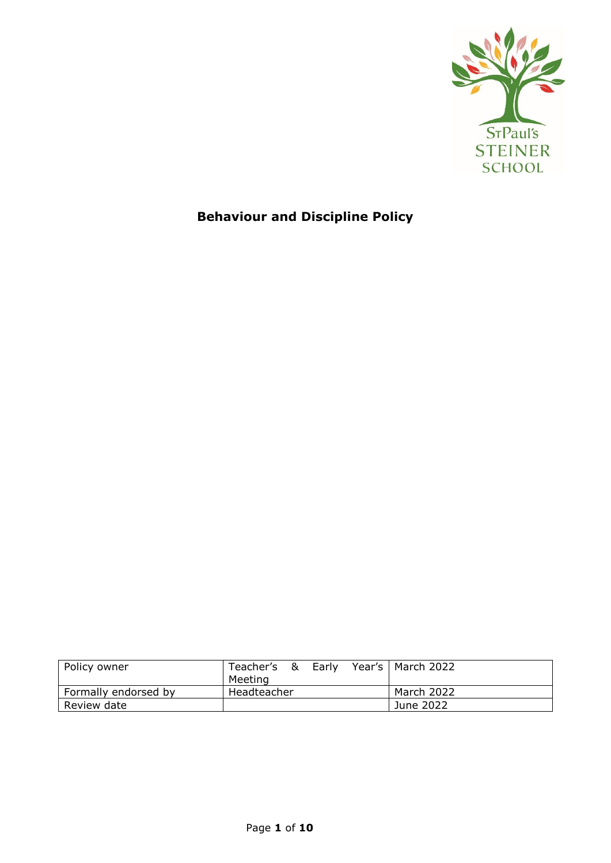

# **Behaviour and Discipline Policy**

| Policy owner         | Teacher's & Early<br>Meeting | Year's   March 2022 |
|----------------------|------------------------------|---------------------|
| Formally endorsed by | Headteacher                  | March 2022          |
| Review date          |                              | June 2022           |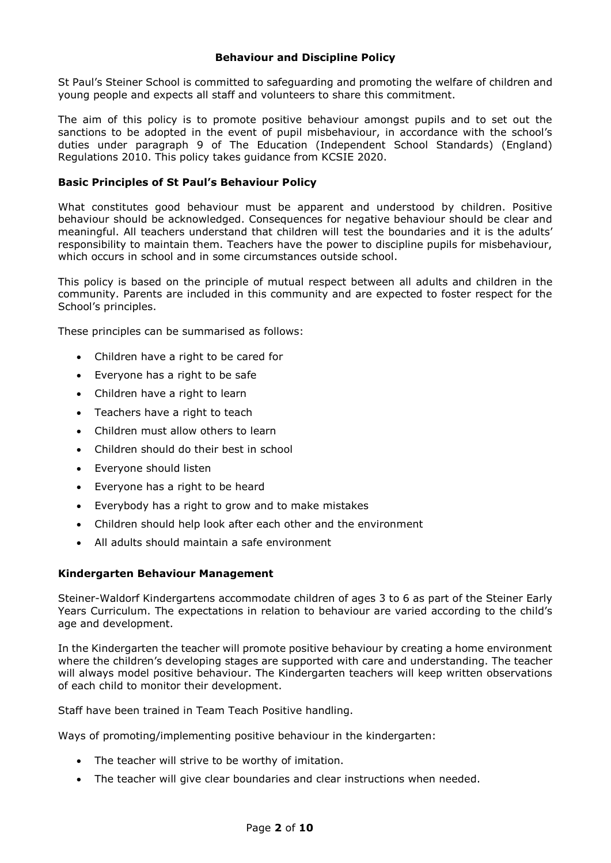## **Behaviour and Discipline Policy**

St Paul's Steiner School is committed to safeguarding and promoting the welfare of children and young people and expects all staff and volunteers to share this commitment.

The aim of this policy is to promote positive behaviour amongst pupils and to set out the sanctions to be adopted in the event of pupil misbehaviour, in accordance with the school's duties under paragraph 9 of The Education (Independent School Standards) (England) Regulations 2010. This policy takes guidance from KCSIE 2020.

## **Basic Principles of St Paul's Behaviour Policy**

What constitutes good behaviour must be apparent and understood by children. Positive behaviour should be acknowledged. Consequences for negative behaviour should be clear and meaningful. All teachers understand that children will test the boundaries and it is the adults' responsibility to maintain them. Teachers have the power to discipline pupils for misbehaviour, which occurs in school and in some circumstances outside school.

This policy is based on the principle of mutual respect between all adults and children in the community. Parents are included in this community and are expected to foster respect for the School's principles.

These principles can be summarised as follows:

- Children have a right to be cared for
- Everyone has a right to be safe
- Children have a right to learn
- Teachers have a right to teach
- Children must allow others to learn
- Children should do their best in school
- Everyone should listen
- Everyone has a right to be heard
- Everybody has a right to grow and to make mistakes
- Children should help look after each other and the environment
- All adults should maintain a safe environment

## **Kindergarten Behaviour Management**

Steiner-Waldorf Kindergartens accommodate children of ages 3 to 6 as part of the Steiner Early Years Curriculum. The expectations in relation to behaviour are varied according to the child's age and development.

In the Kindergarten the teacher will promote positive behaviour by creating a home environment where the children's developing stages are supported with care and understanding. The teacher will always model positive behaviour. The Kindergarten teachers will keep written observations of each child to monitor their development.

Staff have been trained in Team Teach Positive handling.

Ways of promoting/implementing positive behaviour in the kindergarten:

- The teacher will strive to be worthy of imitation.
- The teacher will give clear boundaries and clear instructions when needed.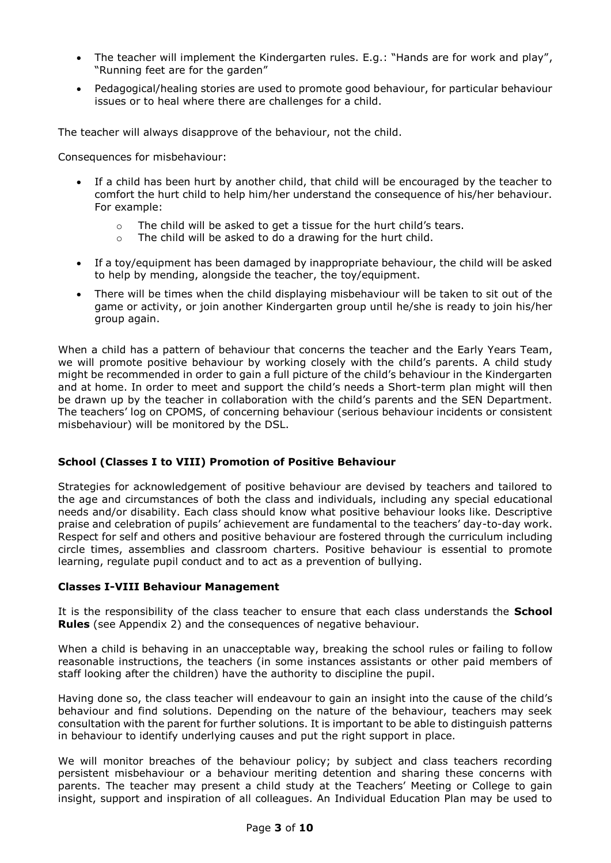- The teacher will implement the Kindergarten rules. E.g.: "Hands are for work and play", "Running feet are for the garden"
- Pedagogical/healing stories are used to promote good behaviour, for particular behaviour issues or to heal where there are challenges for a child.

The teacher will always disapprove of the behaviour, not the child.

Consequences for misbehaviour:

- If a child has been hurt by another child, that child will be encouraged by the teacher to comfort the hurt child to help him/her understand the consequence of his/her behaviour. For example:
	- o The child will be asked to get a tissue for the hurt child's tears.
	- o The child will be asked to do a drawing for the hurt child.
- If a toy/equipment has been damaged by inappropriate behaviour, the child will be asked to help by mending, alongside the teacher, the toy/equipment.
- There will be times when the child displaying misbehaviour will be taken to sit out of the game or activity, or join another Kindergarten group until he/she is ready to join his/her group again.

When a child has a pattern of behaviour that concerns the teacher and the Early Years Team, we will promote positive behaviour by working closely with the child's parents. A child study might be recommended in order to gain a full picture of the child's behaviour in the Kindergarten and at home. In order to meet and support the child's needs a Short-term plan might will then be drawn up by the teacher in collaboration with the child's parents and the SEN Department. The teachers' log on CPOMS, of concerning behaviour (serious behaviour incidents or consistent misbehaviour) will be monitored by the DSL.

## **School (Classes I to VIII) Promotion of Positive Behaviour**

Strategies for acknowledgement of positive behaviour are devised by teachers and tailored to the age and circumstances of both the class and individuals, including any special educational needs and/or disability. Each class should know what positive behaviour looks like. Descriptive praise and celebration of pupils' achievement are fundamental to the teachers' day-to-day work. Respect for self and others and positive behaviour are fostered through the curriculum including circle times, assemblies and classroom charters. Positive behaviour is essential to promote learning, regulate pupil conduct and to act as a prevention of bullying.

## **Classes I-VIII Behaviour Management**

It is the responsibility of the class teacher to ensure that each class understands the **School Rules** (see Appendix 2) and the consequences of negative behaviour.

When a child is behaving in an unacceptable way, breaking the school rules or failing to follow reasonable instructions, the teachers (in some instances assistants or other paid members of staff looking after the children) have the authority to discipline the pupil.

Having done so, the class teacher will endeavour to gain an insight into the cause of the child's behaviour and find solutions. Depending on the nature of the behaviour, teachers may seek consultation with the parent for further solutions. It is important to be able to distinguish patterns in behaviour to identify underlying causes and put the right support in place.

We will monitor breaches of the behaviour policy; by subject and class teachers recording persistent misbehaviour or a behaviour meriting detention and sharing these concerns with parents. The teacher may present a child study at the Teachers' Meeting or College to gain insight, support and inspiration of all colleagues. An Individual Education Plan may be used to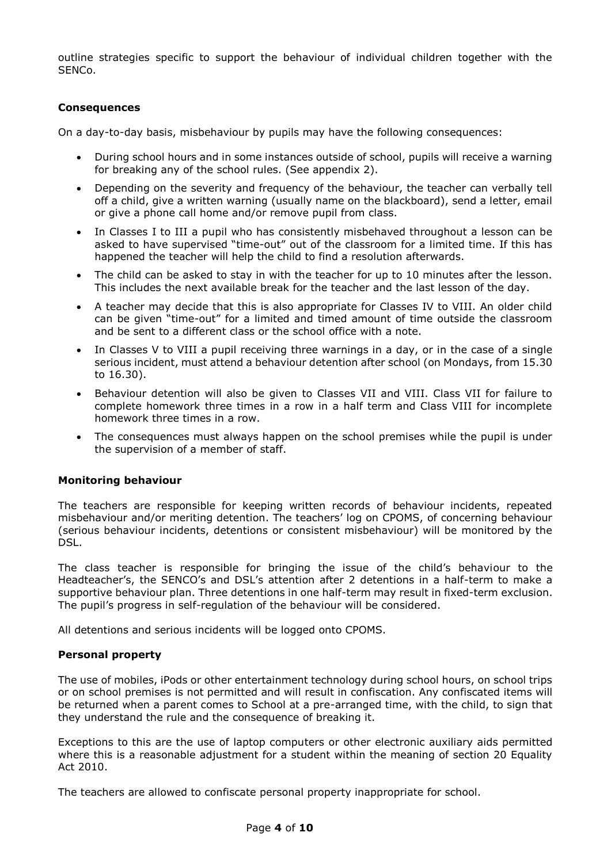outline strategies specific to support the behaviour of individual children together with the SENCo.

## **Consequences**

On a day-to-day basis, misbehaviour by pupils may have the following consequences:

- During school hours and in some instances outside of school, pupils will receive a warning for breaking any of the school rules. (See appendix 2).
- Depending on the severity and frequency of the behaviour, the teacher can verbally tell off a child, give a written warning (usually name on the blackboard), send a letter, email or give a phone call home and/or remove pupil from class.
- In Classes I to III a pupil who has consistently misbehaved throughout a lesson can be asked to have supervised "time-out" out of the classroom for a limited time. If this has happened the teacher will help the child to find a resolution afterwards.
- The child can be asked to stay in with the teacher for up to 10 minutes after the lesson. This includes the next available break for the teacher and the last lesson of the day.
- A teacher may decide that this is also appropriate for Classes IV to VIII. An older child can be given "time-out" for a limited and timed amount of time outside the classroom and be sent to a different class or the school office with a note.
- In Classes V to VIII a pupil receiving three warnings in a day, or in the case of a single serious incident, must attend a behaviour detention after school (on Mondays, from 15.30 to 16.30).
- Behaviour detention will also be given to Classes VII and VIII. Class VII for failure to complete homework three times in a row in a half term and Class VIII for incomplete homework three times in a row.
- The consequences must always happen on the school premises while the pupil is under the supervision of a member of staff.

## **Monitoring behaviour**

The teachers are responsible for keeping written records of behaviour incidents, repeated misbehaviour and/or meriting detention. The teachers' log on CPOMS, of concerning behaviour (serious behaviour incidents, detentions or consistent misbehaviour) will be monitored by the DSL.

The class teacher is responsible for bringing the issue of the child's behaviour to the Headteacher's, the SENCO's and DSL's attention after 2 detentions in a half-term to make a supportive behaviour plan. Three detentions in one half-term may result in fixed-term exclusion. The pupil's progress in self-regulation of the behaviour will be considered.

All detentions and serious incidents will be logged onto CPOMS.

# **Personal property**

The use of mobiles, iPods or other entertainment technology during school hours, on school trips or on school premises is not permitted and will result in confiscation. Any confiscated items will be returned when a parent comes to School at a pre-arranged time, with the child, to sign that they understand the rule and the consequence of breaking it.

Exceptions to this are the use of laptop computers or other electronic auxiliary aids permitted where this is a reasonable adjustment for a student within the meaning of section 20 Equality Act 2010.

The teachers are allowed to confiscate personal property inappropriate for school.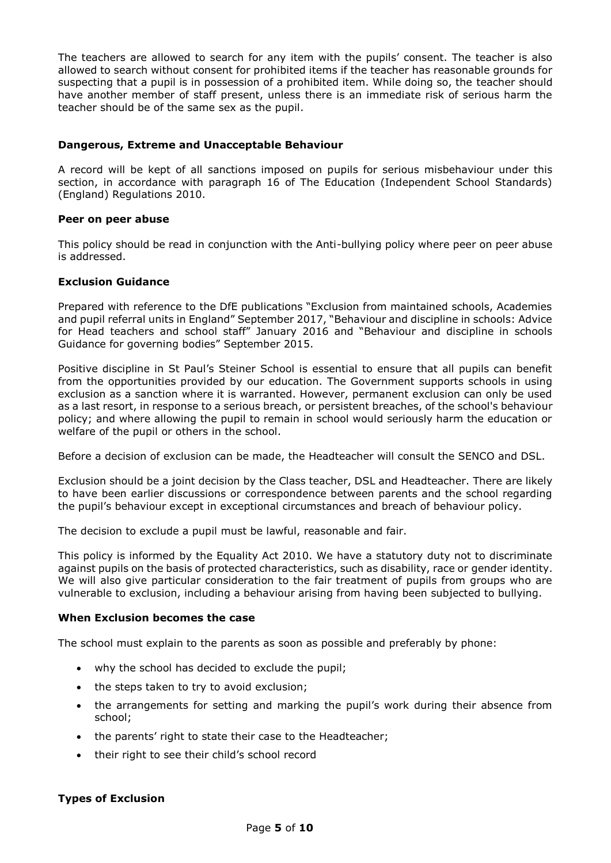The teachers are allowed to search for any item with the pupils' consent. The teacher is also allowed to search without consent for prohibited items if the teacher has reasonable grounds for suspecting that a pupil is in possession of a prohibited item. While doing so, the teacher should have another member of staff present, unless there is an immediate risk of serious harm the teacher should be of the same sex as the pupil.

## **Dangerous, Extreme and Unacceptable Behaviour**

A record will be kept of all sanctions imposed on pupils for serious misbehaviour under this section, in accordance with paragraph 16 of The Education (Independent School Standards) (England) Regulations 2010.

## **Peer on peer abuse**

This policy should be read in conjunction with the Anti-bullying policy where peer on peer abuse is addressed.

## **Exclusion Guidance**

Prepared with reference to the DfE publications "Exclusion from maintained schools, Academies and pupil referral units in England" September 2017, "Behaviour and discipline in schools: Advice for Head teachers and school staff" January 2016 and "Behaviour and discipline in schools Guidance for governing bodies" September 2015.

Positive discipline in St Paul's Steiner School is essential to ensure that all pupils can benefit from the opportunities provided by our education. The Government supports schools in using exclusion as a sanction where it is warranted. However, permanent exclusion can only be used as a last resort, in response to a serious breach, or persistent breaches, of the school's behaviour policy; and where allowing the pupil to remain in school would seriously harm the education or welfare of the pupil or others in the school.

Before a decision of exclusion can be made, the Headteacher will consult the SENCO and DSL.

Exclusion should be a joint decision by the Class teacher, DSL and Headteacher. There are likely to have been earlier discussions or correspondence between parents and the school regarding the pupil's behaviour except in exceptional circumstances and breach of behaviour policy.

The decision to exclude a pupil must be lawful, reasonable and fair.

This policy is informed by the Equality Act 2010. We have a statutory duty not to discriminate against pupils on the basis of protected characteristics, such as disability, race or gender identity. We will also give particular consideration to the fair treatment of pupils from groups who are vulnerable to exclusion, including a behaviour arising from having been subjected to bullying.

## **When Exclusion becomes the case**

The school must explain to the parents as soon as possible and preferably by phone:

- why the school has decided to exclude the pupil;
- the steps taken to try to avoid exclusion;
- the arrangements for setting and marking the pupil's work during their absence from school;
- the parents' right to state their case to the Headteacher;
- their right to see their child's school record

# **Types of Exclusion**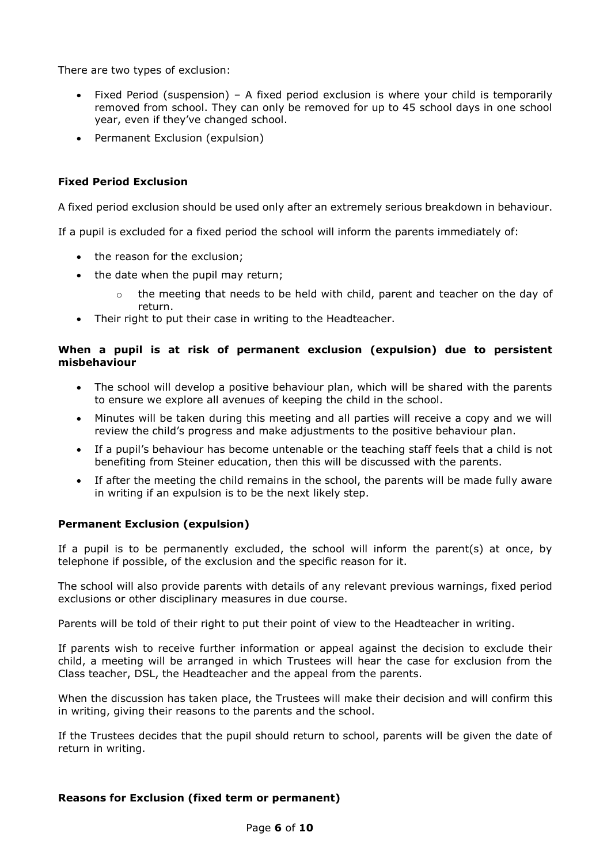There are two types of exclusion:

- Fixed Period (suspension) A fixed period exclusion is where your child is temporarily removed from school. They can only be removed for up to 45 school days in one school year, even if they've changed school.
- Permanent Exclusion (expulsion)

# **Fixed Period Exclusion**

A fixed period exclusion should be used only after an extremely serious breakdown in behaviour.

If a pupil is excluded for a fixed period the school will inform the parents immediately of:

- the reason for the exclusion;
- the date when the pupil may return;
	- $\circ$  the meeting that needs to be held with child, parent and teacher on the day of return.
- Their right to put their case in writing to the Headteacher.

## **When a pupil is at risk of permanent exclusion (expulsion) due to persistent misbehaviour**

- The school will develop a positive behaviour plan, which will be shared with the parents to ensure we explore all avenues of keeping the child in the school.
- Minutes will be taken during this meeting and all parties will receive a copy and we will review the child's progress and make adjustments to the positive behaviour plan.
- If a pupil's behaviour has become untenable or the teaching staff feels that a child is not benefiting from Steiner education, then this will be discussed with the parents.
- If after the meeting the child remains in the school, the parents will be made fully aware in writing if an expulsion is to be the next likely step.

# **Permanent Exclusion (expulsion)**

If a pupil is to be permanently excluded, the school will inform the parent(s) at once, by telephone if possible, of the exclusion and the specific reason for it.

The school will also provide parents with details of any relevant previous warnings, fixed period exclusions or other disciplinary measures in due course.

Parents will be told of their right to put their point of view to the Headteacher in writing.

If parents wish to receive further information or appeal against the decision to exclude their child, a meeting will be arranged in which Trustees will hear the case for exclusion from the Class teacher, DSL, the Headteacher and the appeal from the parents.

When the discussion has taken place, the Trustees will make their decision and will confirm this in writing, giving their reasons to the parents and the school.

If the Trustees decides that the pupil should return to school, parents will be given the date of return in writing.

# **Reasons for Exclusion (fixed term or permanent)**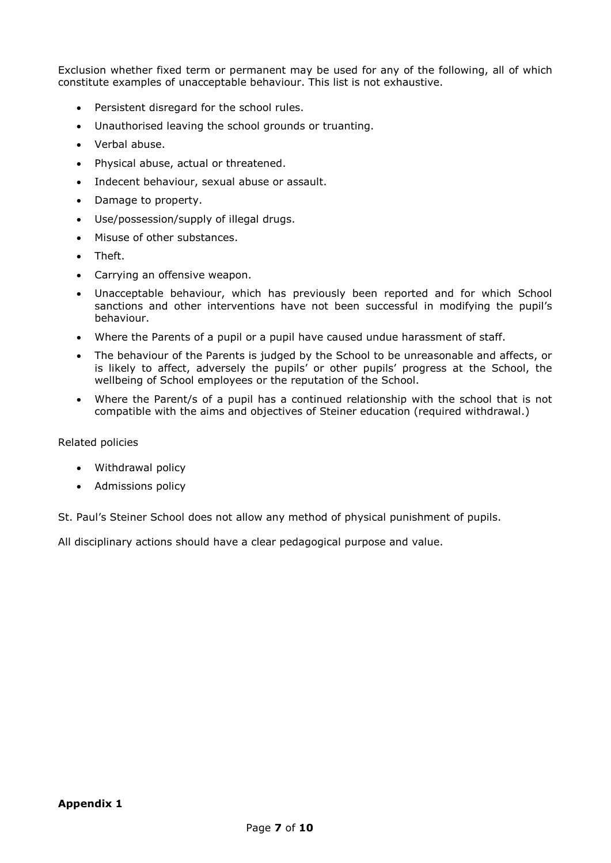Exclusion whether fixed term or permanent may be used for any of the following, all of which constitute examples of unacceptable behaviour. This list is not exhaustive.

- Persistent disregard for the school rules.
- Unauthorised leaving the school grounds or truanting.
- Verbal abuse.
- Physical abuse, actual or threatened.
- Indecent behaviour, sexual abuse or assault.
- Damage to property.
- Use/possession/supply of illegal drugs.
- Misuse of other substances.
- Theft.
- Carrying an offensive weapon.
- Unacceptable behaviour, which has previously been reported and for which School sanctions and other interventions have not been successful in modifying the pupil's behaviour.
- Where the Parents of a pupil or a pupil have caused undue harassment of staff.
- The behaviour of the Parents is judged by the School to be unreasonable and affects, or is likely to affect, adversely the pupils' or other pupils' progress at the School, the wellbeing of School employees or the reputation of the School.
- Where the Parent/s of a pupil has a continued relationship with the school that is not compatible with the aims and objectives of Steiner education (required withdrawal.)

## Related policies

- Withdrawal policy
- Admissions policy

St. Paul's Steiner School does not allow any method of physical punishment of pupils.

All disciplinary actions should have a clear pedagogical purpose and value.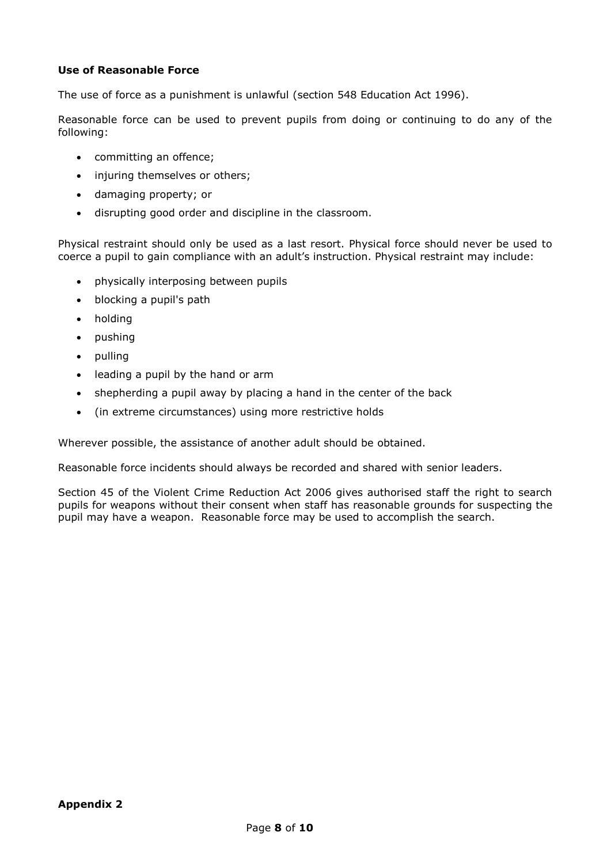# **Use of Reasonable Force**

The use of force as a punishment is unlawful (section 548 Education Act 1996).

Reasonable force can be used to prevent pupils from doing or continuing to do any of the following:

- committing an offence;
- injuring themselves or others;
- damaging property; or
- disrupting good order and discipline in the classroom.

Physical restraint should only be used as a last resort. Physical force should never be used to coerce a pupil to gain compliance with an adult's instruction. Physical restraint may include:

- physically interposing between pupils
- blocking a pupil's path
- holding
- pushing
- pulling
- leading a pupil by the hand or arm
- shepherding a pupil away by placing a hand in the center of the back
- (in extreme circumstances) using more restrictive holds

Wherever possible, the assistance of another adult should be obtained.

Reasonable force incidents should always be recorded and shared with senior leaders.

Section 45 of the Violent Crime Reduction Act 2006 gives authorised staff the right to search pupils for weapons without their consent when staff has reasonable grounds for suspecting the pupil may have a weapon. Reasonable force may be used to accomplish the search.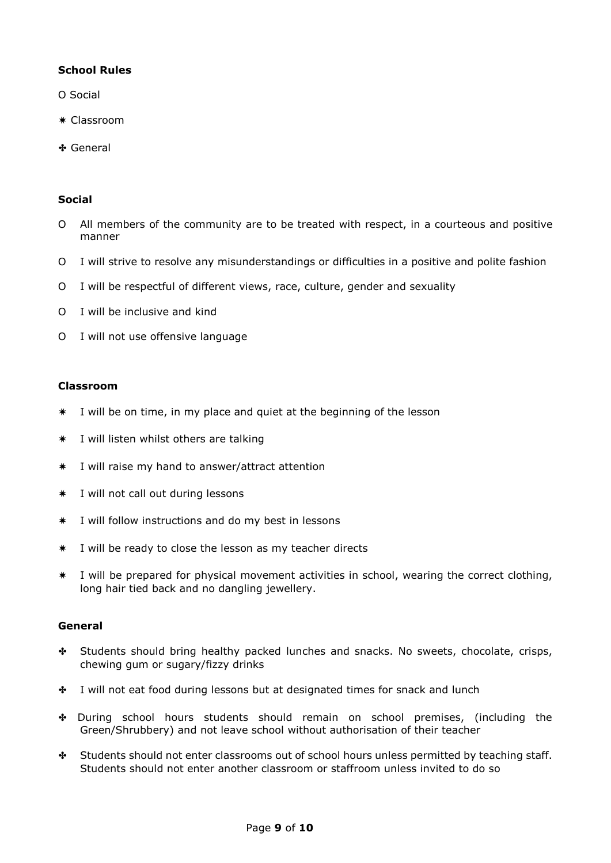# **School Rules**

- O Social
- ✷ Classroom
- ✤ General

## **Social**

- O All members of the community are to be treated with respect, in a courteous and positive manner
- O I will strive to resolve any misunderstandings or difficulties in a positive and polite fashion
- O I will be respectful of different views, race, culture, gender and sexuality
- O I will be inclusive and kind
- O I will not use offensive language

## **Classroom**

- ✷ I will be on time, in my place and quiet at the beginning of the lesson
- ✷ I will listen whilst others are talking
- ✷ I will raise my hand to answer/attract attention
- ✷ I will not call out during lessons
- ✷ I will follow instructions and do my best in lessons
- ✷ I will be ready to close the lesson as my teacher directs
- ✷ I will be prepared for physical movement activities in school, wearing the correct clothing, long hair tied back and no dangling jewellery.

## **General**

- ✤ Students should bring healthy packed lunches and snacks. No sweets, chocolate, crisps, chewing gum or sugary/fizzy drinks
- ✤ I will not eat food during lessons but at designated times for snack and lunch
- ✤ During school hours students should remain on school premises, (including the Green/Shrubbery) and not leave school without authorisation of their teacher
- ✤ Students should not enter classrooms out of school hours unless permitted by teaching staff. Students should not enter another classroom or staffroom unless invited to do so